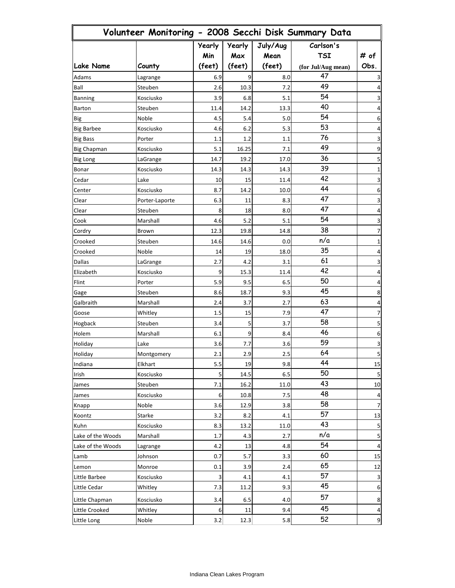| Volunteer Monitoring - 2008 Secchi Disk Summary Data |                |                      |               |                  |                         |                         |
|------------------------------------------------------|----------------|----------------------|---------------|------------------|-------------------------|-------------------------|
|                                                      |                | <b>Yearly</b><br>Min | Yearly<br>Max | July/Aug<br>Mean | Carlson's<br><b>TSI</b> | # of                    |
| <b>Lake Name</b>                                     | County         | (feet)               | (feet)        | (feet)           | (for Jul/Aug mean)      | Obs.                    |
| Adams                                                | Lagrange       | 6.9                  | 9             | 8.0              | 47                      | 3                       |
| Ball                                                 | Steuben        | 2.6                  | 10.3          | 7.2              | 49                      | 4                       |
| <b>Banning</b>                                       | Kosciusko      | 3.9                  | 6.8           | 5.1              | 54                      | 3                       |
| Barton                                               | Steuben        | 11.4                 | 14.2          | 13.3             | 40                      | 4                       |
| Big                                                  | Noble          | 4.5                  | 5.4           | 5.0              | 54                      | 6                       |
| <b>Big Barbee</b>                                    | Kosciusko      | 4.6                  | 6.2           | 5.3              | 53                      | 4                       |
| <b>Big Bass</b>                                      | Porter         | 1.1                  | 1.2           | 1.1              | 76                      | 3                       |
| <b>Big Chapman</b>                                   | Kosciusko      | 5.1                  | 16.25         | 7.1              | 49                      | 9                       |
| Big Long                                             | LaGrange       | 14.7                 | 19.2          | 17.0             | 36                      | 5                       |
| Bonar                                                | Kosciusko      | 14.3                 | 14.3          | 14.3             | 39                      | 1                       |
| Cedar                                                | Lake           | 10                   | 15            | 11.4             | 42                      | 3                       |
| Center                                               | Kosciusko      | 8.7                  | 14.2          | 10.0             | 44                      | 6                       |
| Clear                                                | Porter-Laporte | 6.3                  | 11            | 8.3              | 47                      | 3                       |
| Clear                                                | Steuben        | 8                    | 18            | 8.0              | 47                      | 4                       |
| Cook                                                 | Marshall       | 4.6                  | 5.2           | 5.1              | 54                      | 3                       |
| Cordry                                               | Brown          | 12.3                 | 19.8          | 14.8             | 38                      | 7                       |
| Crooked                                              | Steuben        | 14.6                 | 14.6          | 0.0              | n/a                     | 1                       |
| Crooked                                              | Noble          | 14                   | 19            | 18.0             | 35                      | 4                       |
| Dallas                                               | LaGrange       | 2.7                  | 4.2           | 3.1              | 61                      | 3                       |
| Elizabeth                                            | Kosciusko      | 9                    | 15.3          | 11.4             | 42                      | 4                       |
| Flint                                                | Porter         | 5.9                  | 9.5           | 6.5              | 50                      | 4                       |
| Gage                                                 | Steuben        | 8.6                  | 18.7          | 9.3              | 45                      | 8                       |
| Galbraith                                            | Marshall       | 2.4                  | 3.7           | 2.7              | 63                      | 4                       |
| Goose                                                | Whitley        | 1.5                  | 15            | 7.9              | 47                      | 7                       |
| Hogback                                              | Steuben        | 3.4                  | 5             | 3.7              | 58                      | 5                       |
| Holem                                                | Marshall       | 6.1                  | 9             | 8.4              | 46                      | 6                       |
| Holiday                                              | Lake           | 3.6                  | 7.7           | 3.6              | 59                      | 3                       |
| Holiday                                              | Montgomery     | 2.1                  | 2.9           | 2.5              | 64                      | 5                       |
| Indiana                                              | Elkhart        | 5.5                  | 19            | 9.8              | 44                      | 15                      |
| Irish                                                | Kosciusko      | 5                    | 14.5          | 6.5              | 50                      | 5                       |
| James                                                | Steuben        | 7.1                  | 16.2          | 11.0             | 43                      | $10\,$                  |
| James                                                | Kosciusko      | 6                    | 10.8          | 7.5              | 48                      | 4                       |
| Knapp                                                | Noble          | 3.6                  | 12.9          | 3.8              | 58                      | 7                       |
| Koontz                                               | Starke         | 3.2                  | 8.2           | 4.1              | 57                      | 13                      |
| Kuhn                                                 | Kosciusko      | 8.3                  | 13.2          | 11.0             | 43                      | $\sf 5$                 |
| Lake of the Woods                                    | Marshall       | 1.7                  | 4.3           | 2.7              | n/a                     | 5                       |
| Lake of the Woods                                    | Lagrange       | 4.2                  | 13            | 4.8              | 54                      | $\overline{\mathbf{4}}$ |
| Lamb                                                 | Johnson        | 0.7                  | 5.7           | 3.3              | 60                      | 15                      |
| Lemon                                                | Monroe         | 0.1                  | 3.9           | 2.4              | 65                      | 12                      |
| Little Barbee                                        | Kosciusko      | 3                    | 4.1           | 4.1              | 57                      | $\mathsf 3$             |
| Little Cedar                                         | Whitley        | 7.3                  | 11.2          | 9.3              | 45                      | $\,6\,$                 |
|                                                      |                |                      |               |                  | 57                      |                         |
| Little Chapman                                       | Kosciusko      | 3.4                  | 6.5           | 4.0              | 45                      | 8                       |
| Little Crooked                                       | Whitley        | 6                    | 11            | 9.4              | 52                      | 4                       |
| Little Long                                          | Noble          | 3.2                  | 12.3          | 5.8              |                         | $\boldsymbol{9}$        |